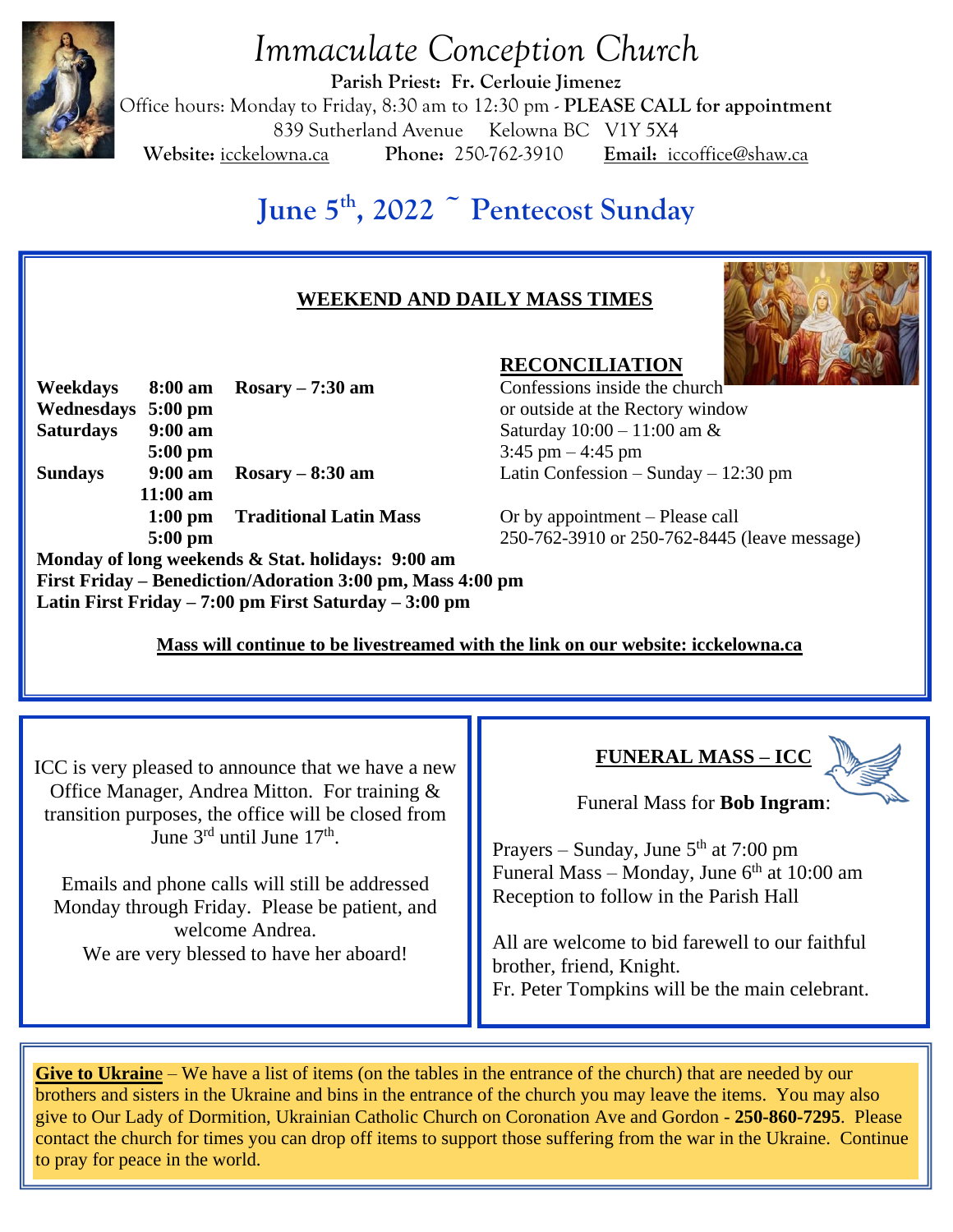

# *Immaculate Conception Church*

**Parish Priest: Fr. Cerlouie Jimenez** Office hours: Monday to Friday, 8:30 am to 12:30 pm - **PLEASE CALL for appointment** 839 Sutherland Avenue Kelowna BC V1Y 5X4 **Website:** icckelowna.ca **Phone:** 250-762-3910 **Email:** iccoffice@shaw.ca

## **June 5th, 2022 ~ Pentecost Sunday**

## **WEEKEND AND DAILY MASS TIMES**



**Weekdays 8:00 am Rosary – 7:30 am** Confessions inside the church **Wednesdays 5:00 pm** or outside at the Rectory window **Saturdays 9:00 am** Saturday 10:00 – 11:00 am & **5:00 pm** 3:45 pm – 4:45 pm **Sundays 9:00 am Rosary – 8:30 am** Latin Confession – Sunday – 12:30 pm **11:00 am 1:00 pm Traditional Latin Mass** Or by appointment – Please call

**Monday of long weekends & Stat. holidays: 9:00 am First Friday – Benediction/Adoration 3:00 pm, Mass 4:00 pm Latin First Friday – 7:00 pm First Saturday – 3:00 pm**

**RECONCILIATION**

**5:00 pm** 250-762-3910 or 250-762-8445 (leave message)

 **Mass will continue to be livestreamed with the link on our website: icckelowna.ca** 

ICC is very pleased to announce that we have a new Office Manager, Andrea Mitton. For training & transition purposes, the office will be closed from June 3<sup>rd</sup> until June 17<sup>th</sup>.

Emails and phone calls will still be addressed Monday through Friday. Please be patient, and welcome Andrea. We are very blessed to have her aboard!

## **FUNERAL MASS – ICC**



Funeral Mass for **Bob Ingram**:

Prayers – Sunday, June  $5<sup>th</sup>$  at 7:00 pm Funeral Mass – Monday, June  $6<sup>th</sup>$  at 10:00 am Reception to follow in the Parish Hall

All are welcome to bid farewell to our faithful brother, friend, Knight. Fr. Peter Tompkins will be the main celebrant.

**Give to Ukraine** – We have a list of items (on the tables in the entrance of the church) that are needed by our brothers and sisters in the Ukraine and bins in the entrance of the church you may leave the items. You may also give to Our Lady of Dormition, Ukrainian Catholic Church on Coronation Ave and Gordon - **250-860-7295**. Please contact the church for times you can drop off items to support those suffering from the war in the Ukraine. Continue to pray for peace in the world.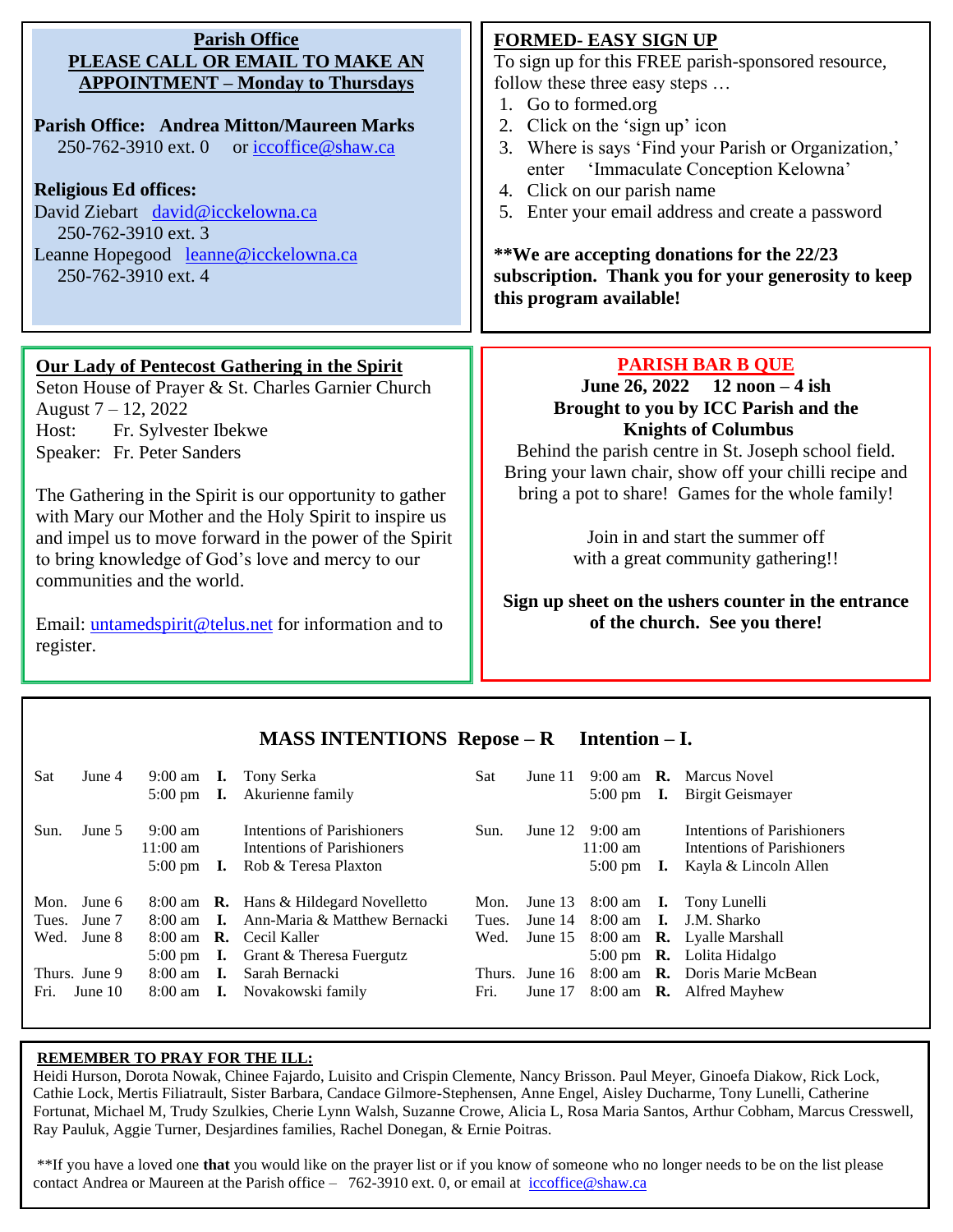| <b>Parish Office</b><br>PLEASE CALL OR EMAIL TO MAKE AN<br><b>APPOINTMENT – Monday to Thursdays</b><br><b>Parish Office: Andrea Mitton/Maureen Marks</b><br>250-762-3910 ext. 0<br>or iccoffice@shaw.ca<br><b>Religious Ed offices:</b><br>David Ziebart david@icckelowna.ca<br>250-762-3910 ext. 3<br>Leanne Hopegood leanne@icckelowna.ca<br>250-762-3910 ext. 4                                                                                                                                                                         | <b>FORMED- EASY SIGN UP</b><br>To sign up for this FREE parish-sponsored resource,<br>follow these three easy steps<br>1. Go to formed.org<br>2. Click on the 'sign up' icon<br>Where is says 'Find your Parish or Organization,'<br>3.<br>enter 'Immaculate Conception Kelowna'<br>4. Click on our parish name<br>5. Enter your email address and create a password<br>**We are accepting donations for the 22/23<br>subscription. Thank you for your generosity to keep<br>this program available! |
|--------------------------------------------------------------------------------------------------------------------------------------------------------------------------------------------------------------------------------------------------------------------------------------------------------------------------------------------------------------------------------------------------------------------------------------------------------------------------------------------------------------------------------------------|------------------------------------------------------------------------------------------------------------------------------------------------------------------------------------------------------------------------------------------------------------------------------------------------------------------------------------------------------------------------------------------------------------------------------------------------------------------------------------------------------|
| Our Lady of Pentecost Gathering in the Spirit<br>Seton House of Prayer & St. Charles Garnier Church<br>August 7 - 12, 2022<br>Fr. Sylvester Ibekwe<br>Host:<br>Speaker: Fr. Peter Sanders<br>The Gathering in the Spirit is our opportunity to gather<br>with Mary our Mother and the Holy Spirit to inspire us<br>and impel us to move forward in the power of the Spirit<br>to bring knowledge of God's love and mercy to our<br>communities and the world.<br>Email: <i>untamedspirit@telus.net</i> for information and to<br>register. | <b>PARISH BAR B QUE</b><br>June 26, 2022 $12 \text{ noon} - 4 \text{ ish}$<br>Brought to you by ICC Parish and the<br><b>Knights of Columbus</b><br>Behind the parish centre in St. Joseph school field.<br>Bring your lawn chair, show off your chilli recipe and<br>bring a pot to share! Games for the whole family!<br>Join in and start the summer off<br>with a great community gathering!!<br>Sign up sheet on the ushers counter in the entrance<br>of the church. See you there!            |

#### **MASS INTENTIONS Repose – R Intention – I.**

| Sat   | June 4        | 9:00 am<br>$5:00 \text{ pm}$                                 | I.             | <b>I.</b> Tony Serka<br>Akurienne family                                         | Sat    | June $11$  |                                                               | 9:00 am $\,$ <b>R.</b> Marcus Novel<br>5:00 pm <b>I.</b> Birgit Geismayer         |
|-------|---------------|--------------------------------------------------------------|----------------|----------------------------------------------------------------------------------|--------|------------|---------------------------------------------------------------|-----------------------------------------------------------------------------------|
| Sun.  | June 5        | $9:00 \text{ am}$<br>$11:00 \text{ am}$<br>$5:00 \text{ pm}$ | 1.             | Intentions of Parishioners<br>Intentions of Parishioners<br>Rob & Teresa Plaxton | Sun.   | June $121$ | $9:00 \text{ am}$<br>$11:00 \text{ am}$<br>5:00 pm $\bm{I}$ . | Intentions of Parishioners<br>Intentions of Parishioners<br>Kayla & Lincoln Allen |
| Mon.  | June 6        |                                                              |                | 8:00 am <b>R.</b> Hans & Hildegard Novelletto                                    | Mon.   |            |                                                               | June 13 8:00 am <b>I.</b> Tony Lunelli                                            |
| Tues. | June 7        | 8:00 am                                                      |                | <b>I.</b> Ann-Maria & Matthew Bernacki                                           | Tues.  | June 14    |                                                               | 8:00 am <b>I.</b> J.M. Sharko                                                     |
| Wed.  | June 8        |                                                              |                | 8:00 am <b>R.</b> Cecil Kaller                                                   | Wed.   | June $15$  |                                                               | 8:00 am <b>R.</b> Lyalle Marshall                                                 |
|       |               | $5:00 \text{ pm}$                                            |                | <b>I.</b> Grant $\&$ Theresa Fuergutz                                            |        |            |                                                               | 5:00 pm $\,$ <b>R.</b> Lolita Hidalgo                                             |
|       | Thurs. June 9 | $8:00 \text{ am}$                                            | $\mathbf{I}$ . | Sarah Bernacki                                                                   | Thurs. | June 16    |                                                               | 8:00 am <b>R.</b> Doris Marie McBean                                              |
| Fri.  | June $10$     | $8:00 \text{ am}$                                            |                | <b>I.</b> Novakowski family                                                      | Fri.   | June $17$  |                                                               | 8:00 am <b>R.</b> Alfred Mayhew                                                   |

#### **REMEMBER TO PRAY FOR THE ILL:**

 $\overline{a}$ 

Heidi Hurson, Dorota Nowak, Chinee Fajardo, Luisito and Crispin Clemente, Nancy Brisson. Paul Meyer, Ginoefa Diakow, Rick Lock, Cathie Lock, Mertis Filiatrault, Sister Barbara, Candace Gilmore-Stephensen, Anne Engel, Aisley Ducharme, Tony Lunelli, Catherine Fortunat, Michael M, Trudy Szulkies, Cherie Lynn Walsh, Suzanne Crowe, Alicia L, Rosa Maria Santos, Arthur Cobham, Marcus Cresswell, Ray Pauluk, Aggie Turner, Desjardines families, Rachel Donegan, & Ernie Poitras.

\*\*If you have a loved one **that** you would like on the prayer list or if you know of someone who no longer needs to be on the list please contact Andrea or Maureen at the Parish office –  $762-3910$  ext. 0, or email at iccoffice@shaw.ca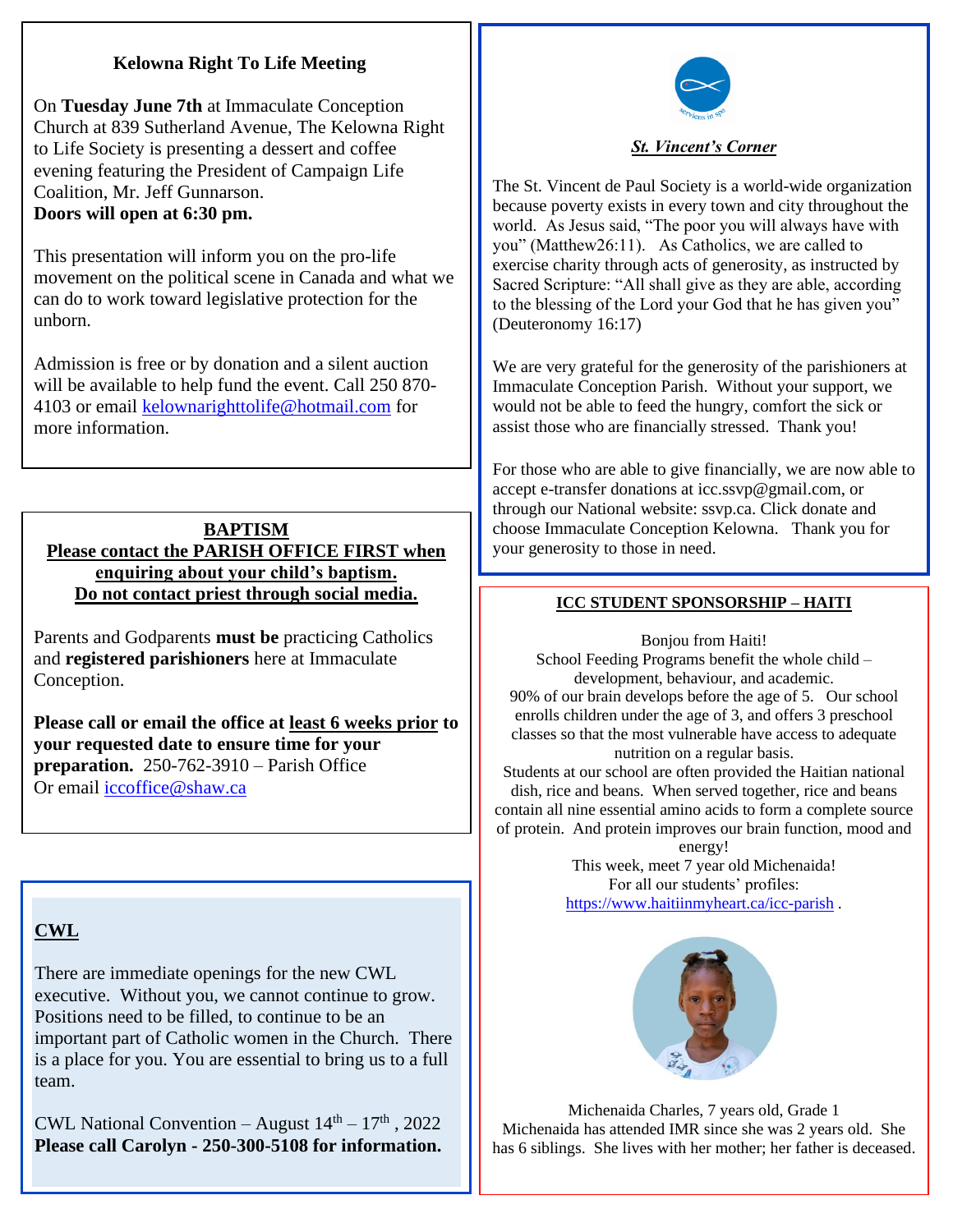#### **Kelowna Right To Life Meeting**

On **Tuesday June 7th** at Immaculate Conception Church at 839 Sutherland Avenue, The Kelowna Right to Life Society is presenting a dessert and coffee evening featuring the President of Campaign Life Coalition, Mr. Jeff Gunnarson. **Doors will open at 6:30 pm.**

This presentation will inform you on the pro-life movement on the political scene in Canada and what we can do to work toward legislative protection for the unborn.

Admission is free or by donation and a silent auction will be available to help fund the event. Call 250 870- 4103 or email [kelownarighttolife@hotmail.com](mailto:kelownarighttolife@hotmail.com) for more information.

#### **BAPTISM Please contact the PARISH OFFICE FIRST when enquiring about your child's baptism. Do not contact priest through social media.**

Parents and Godparents **must be** practicing Catholics and **registered parishioners** here at Immaculate Conception.

**Please call or email the office at least 6 weeks prior to your requested date to ensure time for your preparation.** 250-762-3910 – Parish Office Or email [iccoffice@shaw.ca](mailto:iccoffice@shaw.ca) 

## **CWL**

There are immediate openings for the new CWL executive. Without you, we cannot continue to grow. Positions need to be filled, to continue to be an important part of Catholic women in the Church. There is a place for you. You are essential to bring us to a full team.

CWL National Convention – August  $14<sup>th</sup> - 17<sup>th</sup>$ , 2022 **Please call Carolyn - 250-300-5108 for information.**



*St. Vincent's Corner*

The St. Vincent de Paul Society is a world-wide organization because poverty exists in every town and city throughout the world. As Jesus said, "The poor you will always have with you" (Matthew26:11). As Catholics, we are called to exercise charity through acts of generosity, as instructed by Sacred Scripture: "All shall give as they are able, according to the blessing of the Lord your God that he has given you" (Deuteronomy 16:17)

We are very grateful for the generosity of the parishioners at Immaculate Conception Parish. Without your support, we would not be able to feed the hungry, comfort the sick or assist those who are financially stressed. Thank you!

For those who are able to give financially, we are now able to accept e-transfer donations at icc.ssvp@gmail.com, or through our National website: ssvp.ca. Click donate and choose Immaculate Conception Kelowna. Thank you for your generosity to those in need.

#### **ICC STUDENT SPONSORSHIP – HAITI**

Bonjou from Haiti! School Feeding Programs benefit the whole child – development, behaviour, and academic. 90% of our brain develops before the age of 5. Our school enrolls children under the age of 3, and offers 3 preschool classes so that the most vulnerable have access to adequate nutrition on a regular basis.

Students at our school are often provided the Haitian national dish, rice and beans. When served together, rice and beans contain all nine essential amino acids to form a complete source of protein. And protein improves our brain function, mood and

energy! This week, meet 7 year old Michenaida! For all our students' profiles: <https://www.haitiinmyheart.ca/icc-parish> .



Michenaida Charles, 7 years old, Grade 1 Michenaida has attended IMR since she was 2 years old. She has 6 siblings. She lives with her mother; her father is deceased.